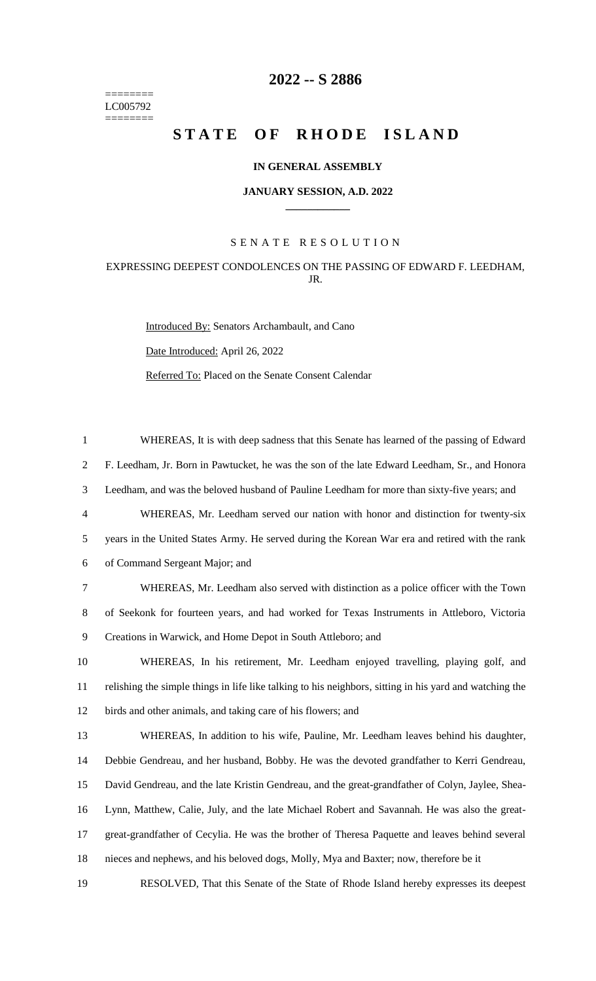======== LC005792 ========

# **-- S 2886**

# **STATE OF RHODE ISLAND**

## **IN GENERAL ASSEMBLY**

#### **JANUARY SESSION, A.D. 2022 \_\_\_\_\_\_\_\_\_\_\_\_**

## S E N A T E R E S O L U T I O N

# EXPRESSING DEEPEST CONDOLENCES ON THE PASSING OF EDWARD F. LEEDHAM, JR.

Introduced By: Senators Archambault, and Cano Date Introduced: April 26, 2022 Referred To: Placed on the Senate Consent Calendar

 WHEREAS, It is with deep sadness that this Senate has learned of the passing of Edward F. Leedham, Jr. Born in Pawtucket, he was the son of the late Edward Leedham, Sr., and Honora Leedham, and was the beloved husband of Pauline Leedham for more than sixty-five years; and WHEREAS, Mr. Leedham served our nation with honor and distinction for twenty-six years in the United States Army. He served during the Korean War era and retired with the rank of Command Sergeant Major; and WHEREAS, Mr. Leedham also served with distinction as a police officer with the Town of Seekonk for fourteen years, and had worked for Texas Instruments in Attleboro, Victoria Creations in Warwick, and Home Depot in South Attleboro; and WHEREAS, In his retirement, Mr. Leedham enjoyed travelling, playing golf, and relishing the simple things in life like talking to his neighbors, sitting in his yard and watching the birds and other animals, and taking care of his flowers; and WHEREAS, In addition to his wife, Pauline, Mr. Leedham leaves behind his daughter, Debbie Gendreau, and her husband, Bobby. He was the devoted grandfather to Kerri Gendreau, David Gendreau, and the late Kristin Gendreau, and the great-grandfather of Colyn, Jaylee, Shea- Lynn, Matthew, Calie, July, and the late Michael Robert and Savannah. He was also the great- great-grandfather of Cecylia. He was the brother of Theresa Paquette and leaves behind several nieces and nephews, and his beloved dogs, Molly, Mya and Baxter; now, therefore be it RESOLVED, That this Senate of the State of Rhode Island hereby expresses its deepest